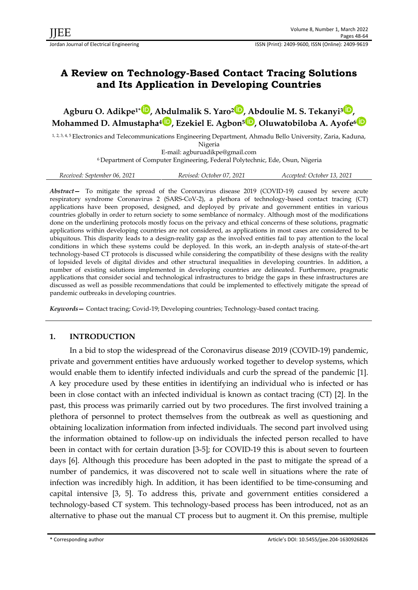# **A Review on Technology-Based Contact Tracing Solutions and Its Application in Developing Countries**

**Agburu O. Adikpe1[\\*](https://orcid.org/0000-0001-5108-8194) , Abdulmalik S. Yaro[2](https://orcid.org/0000-0002-2513-6639) , Abdoulie M. S. Tekanyi<sup>3</sup> [,](https://orcid.org/0000-0002-1218-0892) Mohammed D. Almustapha<sup>4</sup> [,](https://orcid.org/0000-0003-0896-240X) Ezekiel E. Agbon<sup>5</sup> [,](https://orcid.org/0000-0001-9607-8408) Oluwatobiloba A. Ayofe<sup>6</sup>**

1, 2, 3, 4, 5 Electronics and Telecommunications Engineering Department, Ahmadu Bello University, Zaria, Kaduna, Nigeria E-mail: agburuadikpe@gmail.com

<sup>6</sup>Department of Computer Engineering, Federal Polytechnic, Ede, Osun, Nigeria

|  | Received: September 06, 2021 | Revised: October 07, 2021 | Accepted: October 13, 2021 |
|--|------------------------------|---------------------------|----------------------------|
|--|------------------------------|---------------------------|----------------------------|

*Abstract—* To mitigate the spread of the Coronavirus disease 2019 (COVID-19) caused by severe acute respiratory syndrome Coronavirus 2 (SARS-CoV-2), a plethora of technology-based contact tracing (CT) applications have been proposed, designed, and deployed by private and government entities in various countries globally in order to return society to some semblance of normalcy. Although most of the modifications done on the underlining protocols mostly focus on the privacy and ethical concerns of these solutions, pragmatic applications within developing countries are not considered, as applications in most cases are considered to be ubiquitous. This disparity leads to a design-reality gap as the involved entities fail to pay attention to the local conditions in which these systems could be deployed. In this work, an in-depth analysis of state-of-the-art technology-based CT protocols is discussed while considering the compatibility of these designs with the reality of lopsided levels of digital divides and other structural inequalities in developing countries. In addition, a number of existing solutions implemented in developing countries are delineated. Furthermore, pragmatic applications that consider social and technological infrastructures to bridge the gaps in these infrastructures are discussed as well as possible recommendations that could be implemented to effectively mitigate the spread of pandemic outbreaks in developing countries.

*Keywords—* Contact tracing; Covid-19; Developing countries; Technology-based contact tracing.

# **1. INTRODUCTION**

In a bid to stop the widespread of the Coronavirus disease 2019 (COVID-19) pandemic, private and government entities have arduously worked together to develop systems, which would enable them to identify infected individuals and curb the spread of the pandemic [1]. A key procedure used by these entities in identifying an individual who is infected or has been in close contact with an infected individual is known as contact tracing (CT) [2]. In the past, this process was primarily carried out by two procedures. The first involved training a plethora of personnel to protect themselves from the outbreak as well as questioning and obtaining localization information from infected individuals. The second part involved using the information obtained to follow-up on individuals the infected person recalled to have been in contact with for certain duration [3-5]; for COVID-19 this is about seven to fourteen days [6]. Although this procedure has been adopted in the past to mitigate the spread of a number of pandemics, it was discovered not to scale well in situations where the rate of infection was incredibly high. In addition, it has been identified to be time-consuming and capital intensive [3, 5]. To address this, private and government entities considered a technology-based CT system. This technology-based process has been introduced, not as an alternative to phase out the manual CT process but to augment it. On this premise, multiple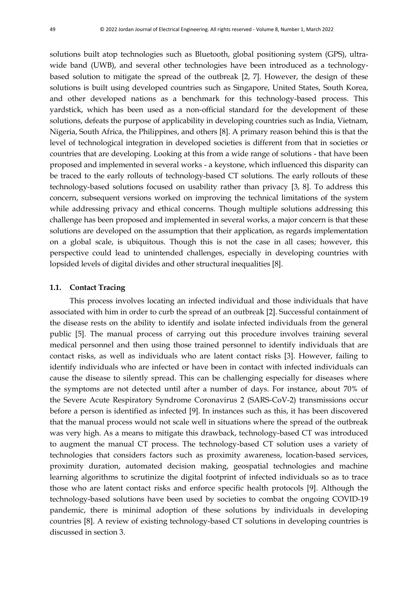solutions built atop technologies such as Bluetooth, global positioning system (GPS), ultrawide band (UWB), and several other technologies have been introduced as a technologybased solution to mitigate the spread of the outbreak [2, 7]. However, the design of these solutions is built using developed countries such as Singapore, United States, South Korea, and other developed nations as a benchmark for this technology-based process. This yardstick, which has been used as a non-official standard for the development of these solutions, defeats the purpose of applicability in developing countries such as India, Vietnam, Nigeria, South Africa, the Philippines, and others [8]. A primary reason behind this is that the level of technological integration in developed societies is different from that in societies or countries that are developing. Looking at this from a wide range of solutions - that have been proposed and implemented in several works - a keystone, which influenced this disparity can be traced to the early rollouts of technology-based CT solutions. The early rollouts of these technology-based solutions focused on usability rather than privacy [3, 8]. To address this concern, subsequent versions worked on improving the technical limitations of the system while addressing privacy and ethical concerns. Though multiple solutions addressing this challenge has been proposed and implemented in several works, a major concern is that these solutions are developed on the assumption that their application, as regards implementation on a global scale, is ubiquitous. Though this is not the case in all cases; however, this perspective could lead to unintended challenges, especially in developing countries with lopsided levels of digital divides and other structural inequalities [8].

#### **1.1. Contact Tracing**

This process involves locating an infected individual and those individuals that have associated with him in order to curb the spread of an outbreak [2]. Successful containment of the disease rests on the ability to identify and isolate infected individuals from the general public [5]. The manual process of carrying out this procedure involves training several medical personnel and then using those trained personnel to identify individuals that are contact risks, as well as individuals who are latent contact risks [3]. However, failing to identify individuals who are infected or have been in contact with infected individuals can cause the disease to silently spread. This can be challenging especially for diseases where the symptoms are not detected until after a number of days. For instance, about 70% of the Severe Acute Respiratory Syndrome Coronavirus 2 (SARS-CoV-2) transmissions occur before a person is identified as infected [9]. In instances such as this, it has been discovered that the manual process would not scale well in situations where the spread of the outbreak was very high. As a means to mitigate this drawback, technology-based CT was introduced to augment the manual CT process. The technology-based CT solution uses a variety of technologies that considers factors such as proximity awareness, location-based services, proximity duration, automated decision making, geospatial technologies and machine learning algorithms to scrutinize the digital footprint of infected individuals so as to trace those who are latent contact risks and enforce specific health protocols [9]. Although the technology-based solutions have been used by societies to combat the ongoing COVID-19 pandemic, there is minimal adoption of these solutions by individuals in developing countries [8]. A review of existing technology-based CT solutions in developing countries is discussed in section 3.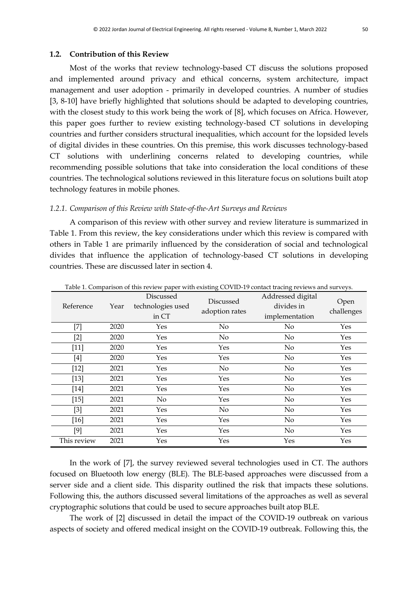#### **1.2. Contribution of this Review**

Most of the works that review technology-based CT discuss the solutions proposed and implemented around privacy and ethical concerns, system architecture, impact management and user adoption - primarily in developed countries. A number of studies [3, 8-10] have briefly highlighted that solutions should be adapted to developing countries, with the closest study to this work being the work of [8], which focuses on Africa. However, this paper goes further to review existing technology-based CT solutions in developing countries and further considers structural inequalities, which account for the lopsided levels of digital divides in these countries. On this premise, this work discusses technology-based CT solutions with underlining concerns related to developing countries, while recommending possible solutions that take into consideration the local conditions of these countries. The technological solutions reviewed in this literature focus on solutions built atop technology features in mobile phones.

#### *1.2.1. Comparison of this Review with State-of-the-Art Surveys and Reviews*

A comparison of this review with other survey and review literature is summarized in Table 1. From this review, the key considerations under which this review is compared with others in Table 1 are primarily influenced by the consideration of social and technological divides that influence the application of technology-based CT solutions in developing countries. These are discussed later in section 4.

| Reference   | Year | Discussed<br>technologies used<br>in CT | Discussed<br>adoption rates | Table 1. Comparison of this feview paper with existing COVID-19 contact tracing feviews and surveys.<br>Addressed digital<br>divides in<br>implementation | Open<br>challenges |
|-------------|------|-----------------------------------------|-----------------------------|-----------------------------------------------------------------------------------------------------------------------------------------------------------|--------------------|
| $^{[7]}$    | 2020 | Yes                                     | No                          | No                                                                                                                                                        | Yes                |
| $[2]$       | 2020 | Yes                                     | $\rm No$                    | $\rm No$                                                                                                                                                  | Yes                |
| $[11]$      | 2020 | Yes                                     | Yes                         | $\rm No$                                                                                                                                                  | Yes                |
| [4]         | 2020 | Yes                                     | Yes                         | $\rm No$                                                                                                                                                  | Yes                |
| $[12]$      | 2021 | Yes                                     | No                          | $\rm No$                                                                                                                                                  | Yes                |
| $[13]$      | 2021 | Yes                                     | Yes                         | $\rm No$                                                                                                                                                  | Yes                |
| $[14]$      | 2021 | Yes                                     | Yes                         | No                                                                                                                                                        | Yes                |
| $[15]$      | 2021 | No                                      | Yes                         | $\rm No$                                                                                                                                                  | Yes                |
| $[3]$       | 2021 | Yes                                     | $\rm No$                    | No                                                                                                                                                        | Yes                |
| [16]        | 2021 | Yes                                     | Yes                         | No                                                                                                                                                        | Yes                |
| $[9]$       | 2021 | Yes                                     | Yes                         | $\rm No$                                                                                                                                                  | Yes                |
| This review | 2021 | Yes                                     | Yes                         | Yes                                                                                                                                                       | Yes                |

Table 1. Comparison of this review paper with existing COVID-19 contact tracing reviews and surveys.

In the work of [7], the survey reviewed several technologies used in CT. The authors focused on Bluetooth low energy (BLE). The BLE-based approaches were discussed from a server side and a client side. This disparity outlined the risk that impacts these solutions. Following this, the authors discussed several limitations of the approaches as well as several cryptographic solutions that could be used to secure approaches built atop BLE.

The work of [2] discussed in detail the impact of the COVID-19 outbreak on various aspects of society and offered medical insight on the COVID-19 outbreak. Following this, the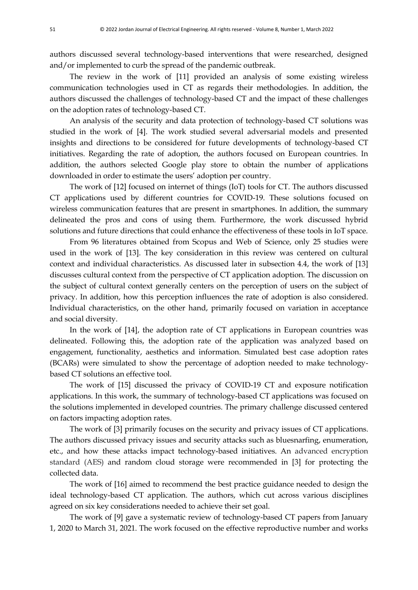authors discussed several technology-based interventions that were researched, designed and/or implemented to curb the spread of the pandemic outbreak.

The review in the work of [11] provided an analysis of some existing wireless communication technologies used in CT as regards their methodologies. In addition, the authors discussed the challenges of technology-based CT and the impact of these challenges on the adoption rates of technology-based CT.

An analysis of the security and data protection of technology-based CT solutions was studied in the work of [4]. The work studied several adversarial models and presented insights and directions to be considered for future developments of technology-based CT initiatives. Regarding the rate of adoption, the authors focused on European countries. In addition, the authors selected Google play store to obtain the number of applications downloaded in order to estimate the users' adoption per country.

The work of [12] focused on internet of things (IoT) tools for CT. The authors discussed CT applications used by different countries for COVID-19. These solutions focused on wireless communication features that are present in smartphones. In addition, the summary delineated the pros and cons of using them. Furthermore, the work discussed hybrid solutions and future directions that could enhance the effectiveness of these tools in IoT space.

From 96 literatures obtained from Scopus and Web of Science, only 25 studies were used in the work of [13]. The key consideration in this review was centered on cultural context and individual characteristics. As discussed later in subsection 4.4, the work of [13] discusses cultural context from the perspective of CT application adoption. The discussion on the subject of cultural context generally centers on the perception of users on the subject of privacy. In addition, how this perception influences the rate of adoption is also considered. Individual characteristics, on the other hand, primarily focused on variation in acceptance and social diversity.

In the work of [14], the adoption rate of CT applications in European countries was delineated. Following this, the adoption rate of the application was analyzed based on engagement, functionality, aesthetics and information. Simulated best case adoption rates (BCARs) were simulated to show the percentage of adoption needed to make technologybased CT solutions an effective tool.

The work of [15] discussed the privacy of COVID-19 CT and exposure notification applications. In this work, the summary of technology-based CT applications was focused on the solutions implemented in developed countries. The primary challenge discussed centered on factors impacting adoption rates.

The work of [3] primarily focuses on the security and privacy issues of CT applications. The authors discussed privacy issues and security attacks such as bluesnarfing, enumeration, etc., and how these attacks impact technology-based initiatives. An advanced encryption standard (AES) and random cloud storage were recommended in [3] for protecting the collected data.

The work of [16] aimed to recommend the best practice guidance needed to design the ideal technology-based CT application. The authors, which cut across various disciplines agreed on six key considerations needed to achieve their set goal.

The work of [9] gave a systematic review of technology-based CT papers from January 1, 2020 to March 31, 2021. The work focused on the effective reproductive number and works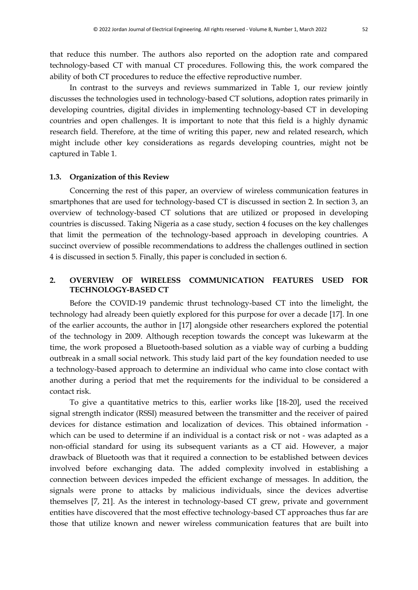that reduce this number. The authors also reported on the adoption rate and compared technology-based CT with manual CT procedures. Following this, the work compared the ability of both CT procedures to reduce the effective reproductive number.

In contrast to the surveys and reviews summarized in Table 1, our review jointly discusses the technologies used in technology-based CT solutions, adoption rates primarily in developing countries, digital divides in implementing technology-based CT in developing countries and open challenges. It is important to note that this field is a highly dynamic research field. Therefore, at the time of writing this paper, new and related research, which might include other key considerations as regards developing countries, might not be captured in Table 1.

#### **1.3. Organization of this Review**

Concerning the rest of this paper, an overview of wireless communication features in smartphones that are used for technology-based CT is discussed in section 2. In section 3, an overview of technology-based CT solutions that are utilized or proposed in developing countries is discussed. Taking Nigeria as a case study, section 4 focuses on the key challenges that limit the permeation of the technology-based approach in developing countries. A succinct overview of possible recommendations to address the challenges outlined in section 4 is discussed in section 5. Finally, this paper is concluded in section 6.

# **2. OVERVIEW OF WIRELESS COMMUNICATION FEATURES USED FOR TECHNOLOGY-BASED CT**

Before the COVID-19 pandemic thrust technology-based CT into the limelight, the technology had already been quietly explored for this purpose for over a decade [17]. In one of the earlier accounts, the author in [17] alongside other researchers explored the potential of the technology in 2009. Although reception towards the concept was lukewarm at the time, the work proposed a Bluetooth-based solution as a viable way of curbing a budding outbreak in a small social network. This study laid part of the key foundation needed to use a technology-based approach to determine an individual who came into close contact with another during a period that met the requirements for the individual to be considered a contact risk.

To give a quantitative metrics to this, earlier works like [18-20], used the received signal strength indicator (RSSI) measured between the transmitter and the receiver of paired devices for distance estimation and localization of devices. This obtained information which can be used to determine if an individual is a contact risk or not - was adapted as a non-official standard for using its subsequent variants as a CT aid. However, a major drawback of Bluetooth was that it required a connection to be established between devices involved before exchanging data. The added complexity involved in establishing a connection between devices impeded the efficient exchange of messages. In addition, the signals were prone to attacks by malicious individuals, since the devices advertise themselves [7, 21]. As the interest in technology-based CT grew, private and government entities have discovered that the most effective technology-based CT approaches thus far are those that utilize known and newer wireless communication features that are built into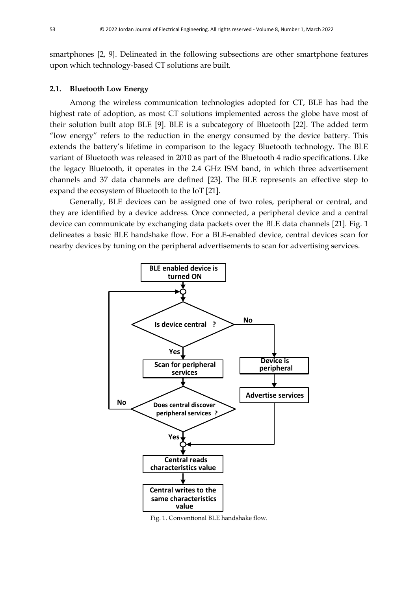smartphones [2, 9]. Delineated in the following subsections are other smartphone features upon which technology-based CT solutions are built.

#### **2.1. Bluetooth Low Energy**

Among the wireless communication technologies adopted for CT, BLE has had the highest rate of adoption, as most CT solutions implemented across the globe have most of their solution built atop BLE [9]. BLE is a subcategory of Bluetooth [22]. The added term "low energy" refers to the reduction in the energy consumed by the device battery. This extends the battery's lifetime in comparison to the legacy Bluetooth technology. The BLE variant of Bluetooth was released in 2010 as part of the Bluetooth 4 radio specifications. Like the legacy Bluetooth, it operates in the 2.4 GHz ISM band, in which three advertisement channels and 37 data channels are defined [23]. The BLE represents an effective step to expand the ecosystem of Bluetooth to the IoT [21].

Generally, BLE devices can be assigned one of two roles, peripheral or central, and they are identified by a device address. Once connected, a peripheral device and a central device can communicate by exchanging data packets over the BLE data channels [21]. Fig. 1 delineates a basic BLE handshake flow. For a BLE-enabled device, central devices scan for nearby devices by tuning on the peripheral advertisements to scan for advertising services.



Fig. 1. Conventional BLE handshake flow.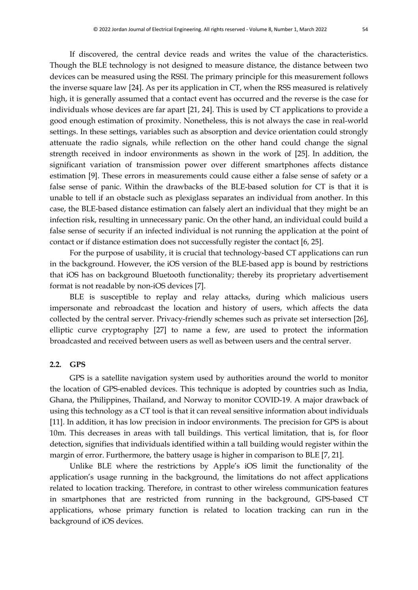devices can be measured using the RSSI. The primary principle for this measurement follows the inverse square law [24]. As per its application in CT, when the RSS measured is relatively high, it is generally assumed that a contact event has occurred and the reverse is the case for individuals whose devices are far apart [21, 24]. This is used by CT applications to provide a good enough estimation of proximity. Nonetheless, this is not always the case in real-world settings. In these settings, variables such as absorption and device orientation could strongly attenuate the radio signals, while reflection on the other hand could change the signal strength received in indoor environments as shown in the work of [25]. In addition, the significant variation of transmission power over different smartphones affects distance estimation [9]. These errors in measurements could cause either a false sense of safety or a false sense of panic. Within the drawbacks of the BLE-based solution for CT is that it is unable to tell if an obstacle such as plexiglass separates an individual from another. In this case, the BLE-based distance estimation can falsely alert an individual that they might be an infection risk, resulting in unnecessary panic. On the other hand, an individual could build a false sense of security if an infected individual is not running the application at the point of contact or if distance estimation does not successfully register the contact [6, 25].

For the purpose of usability, it is crucial that technology-based CT applications can run in the background. However, the iOS version of the BLE-based app is bound by restrictions that iOS has on background Bluetooth functionality; thereby its proprietary advertisement format is not readable by non-iOS devices [7].

BLE is susceptible to replay and relay attacks, during which malicious users impersonate and rebroadcast the location and history of users, which affects the data collected by the central server. Privacy-friendly schemes such as private set intersection [26], elliptic curve cryptography [27] to name a few, are used to protect the information broadcasted and received between users as well as between users and the central server.

#### **2.2. GPS**

GPS is a satellite navigation system used by authorities around the world to monitor the location of GPS-enabled devices. This technique is adopted by countries such as India, Ghana, the Philippines, Thailand, and Norway to monitor COVID-19. A major drawback of using this technology as a CT tool is that it can reveal sensitive information about individuals [11]. In addition, it has low precision in indoor environments. The precision for GPS is about 10m. This decreases in areas with tall buildings. This vertical limitation, that is, for floor detection, signifies that individuals identified within a tall building would register within the margin of error. Furthermore, the battery usage is higher in comparison to BLE [7, 21].

Unlike BLE where the restrictions by Apple's iOS limit the functionality of the application's usage running in the background, the limitations do not affect applications related to location tracking. Therefore, in contrast to other wireless communication features in smartphones that are restricted from running in the background, GPS-based CT applications, whose primary function is related to location tracking can run in the background of iOS devices.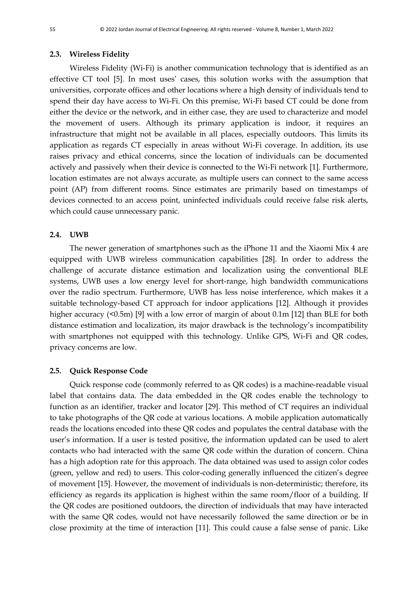#### **2.3. Wireless Fidelity**

Wireless Fidelity (Wi-Fi) is another communication technology that is identified as an effective CT tool [5]. In most uses' cases, this solution works with the assumption that universities, corporate offices and other locations where a high density of individuals tend to spend their day have access to Wi-Fi. On this premise, Wi-Fi based CT could be done from either the device or the network, and in either case, they are used to characterize and model the movement of users. Although its primary application is indoor, it requires an infrastructure that might not be available in all places, especially outdoors. This limits its application as regards CT especially in areas without Wi-Fi coverage. In addition, its use raises privacy and ethical concerns, since the location of individuals can be documented actively and passively when their device is connected to the Wi-Fi network [1]. Furthermore, location estimates are not always accurate, as multiple users can connect to the same access point (AP) from different rooms. Since estimates are primarily based on timestamps of devices connected to an access point, uninfected individuals could receive false risk alerts, which could cause unnecessary panic.

#### **2.4. UWB**

The newer generation of smartphones such as the iPhone 11 and the Xiaomi Mix 4 are equipped with UWB wireless communication capabilities [28]. In order to address the challenge of accurate distance estimation and localization using the conventional BLE systems, UWB uses a low energy level for short-range, high bandwidth communications over the radio spectrum. Furthermore, UWB has less noise interference, which makes it a suitable technology-based CT approach for indoor applications [12]. Although it provides higher accuracy (<0.5m) [9] with a low error of margin of about 0.1m [12] than BLE for both distance estimation and localization, its major drawback is the technology's incompatibility with smartphones not equipped with this technology. Unlike GPS, Wi-Fi and QR codes, privacy concerns are low.

#### **2.5. Quick Response Code**

Quick response code (commonly referred to as QR codes) is a machine-readable visual label that contains data. The data embedded in the QR codes enable the technology to function as an identifier, tracker and locator [29]. This method of CT requires an individual to take photographs of the QR code at various locations. A mobile application automatically reads the locations encoded into these QR codes and populates the central database with the user's information. If a user is tested positive, the information updated can be used to alert contacts who had interacted with the same QR code within the duration of concern. China has a high adoption rate for this approach. The data obtained was used to assign color codes (green, yellow and red) to users. This color-coding generally influenced the citizen's degree of movement [15]. However, the movement of individuals is non-deterministic; therefore, its efficiency as regards its application is highest within the same room/floor of a building. If the QR codes are positioned outdoors, the direction of individuals that may have interacted with the same QR codes, would not have necessarily followed the same direction or be in close proximity at the time of interaction [11]. This could cause a false sense of panic. Like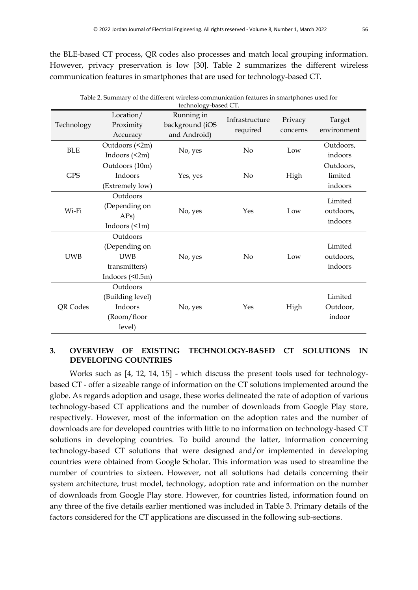the BLE-based CT process, QR codes also processes and match local grouping information. However, privacy preservation is low [30]. Table 2 summarizes the different wireless communication features in smartphones that are used for technology-based CT.

| technology-based CT. |                                                                                  |                                               |                            |                     |                                 |
|----------------------|----------------------------------------------------------------------------------|-----------------------------------------------|----------------------------|---------------------|---------------------------------|
| Technology           | Location/<br>Proximity<br>Accuracy                                               | Running in<br>background (iOS<br>and Android) | Infrastructure<br>required | Privacy<br>concerns | Target<br>environment           |
| <b>BLE</b>           | Outdoors (<2m)<br>Indoors (<2m)                                                  | No, yes                                       | N <sub>o</sub>             | Low                 | Outdoors,<br>indoors            |
| <b>GPS</b>           | Outdoors (10m)<br>Indoors<br>(Extremely low)                                     | Yes, yes                                      | $\rm No$                   | High                | Outdoors,<br>limited<br>indoors |
| Wi-Fi                | Outdoors<br>(Depending on<br>APs)<br>Indoors $(\leq 1m)$                         | No, yes                                       | Yes                        | Low                 | Limited<br>outdoors,<br>indoors |
| <b>UWB</b>           | Outdoors<br>(Depending on<br><b>UWB</b><br>transmitters)<br>Indoors $($ $0.5m$ ) | No, yes                                       | N <sub>o</sub>             | Low                 | Limited<br>outdoors,<br>indoors |
| QR Codes             | Outdoors<br>(Building level)<br>Indoors<br>(Room/floor<br>level)                 | No, yes                                       | Yes                        | High                | Limited<br>Outdoor,<br>indoor   |

Table 2. Summary of the different wireless communication features in smartphones used for

# **3. OVERVIEW OF EXISTING TECHNOLOGY-BASED CT SOLUTIONS IN DEVELOPING COUNTRIES**

Works such as [4, 12, 14, 15] - which discuss the present tools used for technologybased CT - offer a sizeable range of information on the CT solutions implemented around the globe. As regards adoption and usage, these works delineated the rate of adoption of various technology-based CT applications and the number of downloads from Google Play store, respectively. However, most of the information on the adoption rates and the number of downloads are for developed countries with little to no information on technology-based CT solutions in developing countries. To build around the latter, information concerning technology-based CT solutions that were designed and/or implemented in developing countries were obtained from Google Scholar. This information was used to streamline the number of countries to sixteen. However, not all solutions had details concerning their system architecture, trust model, technology, adoption rate and information on the number of downloads from Google Play store. However, for countries listed, information found on any three of the five details earlier mentioned was included in Table 3. Primary details of the factors considered for the CT applications are discussed in the following sub-sections.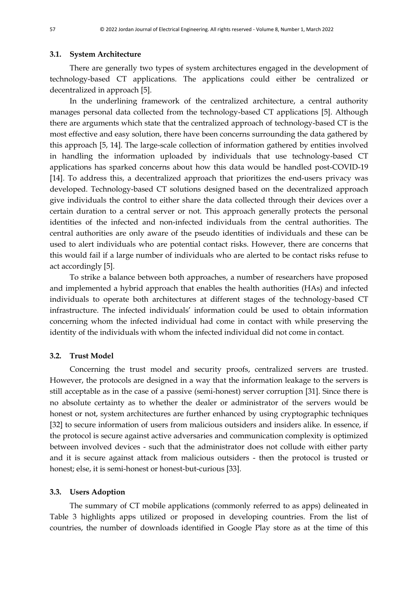#### **3.1. System Architecture**

There are generally two types of system architectures engaged in the development of technology-based CT applications. The applications could either be centralized or decentralized in approach [5].

In the underlining framework of the centralized architecture, a central authority manages personal data collected from the technology-based CT applications [5]. Although there are arguments which state that the centralized approach of technology-based CT is the most effective and easy solution, there have been concerns surrounding the data gathered by this approach [5, 14]. The large-scale collection of information gathered by entities involved in handling the information uploaded by individuals that use technology-based CT applications has sparked concerns about how this data would be handled post-COVID-19 [14]. To address this, a decentralized approach that prioritizes the end-users privacy was developed. Technology-based CT solutions designed based on the decentralized approach give individuals the control to either share the data collected through their devices over a certain duration to a central server or not. This approach generally protects the personal identities of the infected and non-infected individuals from the central authorities. The central authorities are only aware of the pseudo identities of individuals and these can be used to alert individuals who are potential contact risks. However, there are concerns that this would fail if a large number of individuals who are alerted to be contact risks refuse to act accordingly [5].

To strike a balance between both approaches, a number of researchers have proposed and implemented a hybrid approach that enables the health authorities (HAs) and infected individuals to operate both architectures at different stages of the technology-based CT infrastructure. The infected individuals' information could be used to obtain information concerning whom the infected individual had come in contact with while preserving the identity of the individuals with whom the infected individual did not come in contact.

#### **3.2. Trust Model**

Concerning the trust model and security proofs, centralized servers are trusted. However, the protocols are designed in a way that the information leakage to the servers is still acceptable as in the case of a passive (semi-honest) server corruption [31]. Since there is no absolute certainty as to whether the dealer or administrator of the servers would be honest or not, system architectures are further enhanced by using cryptographic techniques [32] to secure information of users from malicious outsiders and insiders alike. In essence, if the protocol is secure against active adversaries and communication complexity is optimized between involved devices - such that the administrator does not collude with either party and it is secure against attack from malicious outsiders - then the protocol is trusted or honest; else, it is semi-honest or honest-but-curious [33].

#### **3.3. Users Adoption**

The summary of CT mobile applications (commonly referred to as apps) delineated in Table 3 highlights apps utilized or proposed in developing countries. From the list of countries, the number of downloads identified in Google Play store as at the time of this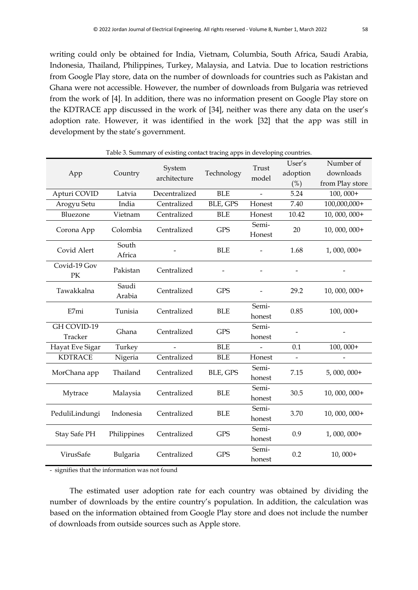writing could only be obtained for India, Vietnam, Columbia, South Africa, Saudi Arabia, Indonesia, Thailand, Philippines, Turkey, Malaysia, and Latvia. Due to location restrictions from Google Play store, data on the number of downloads for countries such as Pakistan and Ghana were not accessible. However, the number of downloads from Bulgaria was retrieved from the work of [4]. In addition, there was no information present on Google Play store on the KDTRACE app discussed in the work of [34], neither was there any data on the user's adoption rate. However, it was identified in the work [32] that the app was still in development by the state's government.

| Table 3. Summary of existing contact tracing apps in developing countries. |                 |                        |            |                 |                              |                                           |
|----------------------------------------------------------------------------|-----------------|------------------------|------------|-----------------|------------------------------|-------------------------------------------|
| App                                                                        | Country         | System<br>architecture | Technology | Trust<br>model  | User's<br>adoption<br>$(\%)$ | Number of<br>downloads<br>from Play store |
| Apturi COVID                                                               | Latvia          | Decentralized          | <b>BLE</b> | $\overline{a}$  | 5.24                         | $100,000+$                                |
| Arogyu Setu                                                                | India           | Centralized            | BLE, GPS   | Honest          | 7.40                         | 100,000,000+                              |
| Bluezone                                                                   | Vietnam         | Centralized            | <b>BLE</b> | Honest          | 10.42                        | $10,000,000+$                             |
| Corona App                                                                 | Colombia        | Centralized            | <b>GPS</b> | Semi-<br>Honest | 20                           | $10,000,000+$                             |
| Covid Alert                                                                | South<br>Africa |                        | <b>BLE</b> |                 | 1.68                         | $1,000,000+$                              |
| Covid-19 Gov<br>PK                                                         | Pakistan        | Centralized            |            |                 |                              |                                           |
| Tawakkalna                                                                 | Saudi<br>Arabia | Centralized            | <b>GPS</b> |                 | 29.2                         | $10,000,000+$                             |
| E7mi                                                                       | Tunisia         | Centralized            | <b>BLE</b> | Semi-<br>honest | 0.85                         | $100,000+$                                |
| GH COVID-19<br>Tracker                                                     | Ghana           | Centralized            | <b>GPS</b> | Semi-<br>honest |                              |                                           |
| Hayat Eve Sigar                                                            | Turkey          |                        | <b>BLE</b> |                 | 0.1                          | $100,000+$                                |
| <b>KDTRACE</b>                                                             | Nigeria         | Centralized            | <b>BLE</b> | Honest          | $\overline{a}$               |                                           |
| MorChana app                                                               | Thailand        | Centralized            | BLE, GPS   | Semi-<br>honest | 7.15                         | $5,000,000+$                              |
| Mytrace                                                                    | Malaysia        | Centralized            | <b>BLE</b> | Semi-<br>honest | 30.5                         | $10,000,000+$                             |
| PeduliLindungi                                                             | Indonesia       | Centralized            | <b>BLE</b> | Semi-<br>honest | 3.70                         | $10,000,000+$                             |
| Stay Safe PH                                                               | Philippines     | Centralized            | <b>GPS</b> | Semi-<br>honest | 0.9                          | $1,000,000+$                              |
| VirusSafe                                                                  | Bulgaria        | Centralized            | <b>GPS</b> | Semi-<br>honest | 0.2                          | $10,000+$                                 |

- signifies that the information was not found

The estimated user adoption rate for each country was obtained by dividing the number of downloads by the entire country's population. In addition, the calculation was based on the information obtained from Google Play store and does not include the number of downloads from outside sources such as Apple store.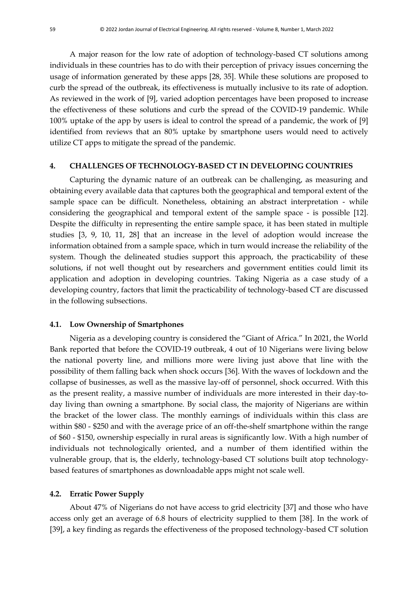A major reason for the low rate of adoption of technology-based CT solutions among individuals in these countries has to do with their perception of privacy issues concerning the usage of information generated by these apps [28, 35]. While these solutions are proposed to curb the spread of the outbreak, its effectiveness is mutually inclusive to its rate of adoption. As reviewed in the work of [9], varied adoption percentages have been proposed to increase the effectiveness of these solutions and curb the spread of the COVID-19 pandemic. While 100% uptake of the app by users is ideal to control the spread of a pandemic, the work of [9] identified from reviews that an 80% uptake by smartphone users would need to actively utilize CT apps to mitigate the spread of the pandemic.

### **4. CHALLENGES OF TECHNOLOGY-BASED CT IN DEVELOPING COUNTRIES**

Capturing the dynamic nature of an outbreak can be challenging, as measuring and obtaining every available data that captures both the geographical and temporal extent of the sample space can be difficult. Nonetheless, obtaining an abstract interpretation - while considering the geographical and temporal extent of the sample space - is possible [12]. Despite the difficulty in representing the entire sample space, it has been stated in multiple studies [3, 9, 10, 11, 28] that an increase in the level of adoption would increase the information obtained from a sample space, which in turn would increase the reliability of the system. Though the delineated studies support this approach, the practicability of these solutions, if not well thought out by researchers and government entities could limit its application and adoption in developing countries. Taking Nigeria as a case study of a developing country, factors that limit the practicability of technology-based CT are discussed in the following subsections.

#### **4.1. Low Ownership of Smartphones**

Nigeria as a developing country is considered the "Giant of Africa." In 2021, the World Bank reported that before the COVID-19 outbreak, 4 out of 10 Nigerians were living below the national poverty line, and millions more were living just above that line with the possibility of them falling back when shock occurs [36]. With the waves of lockdown and the collapse of businesses, as well as the massive lay-off of personnel, shock occurred. With this as the present reality, a massive number of individuals are more interested in their day-today living than owning a smartphone. By social class, the majority of Nigerians are within the bracket of the lower class. The monthly earnings of individuals within this class are within \$80 - \$250 and with the average price of an off-the-shelf smartphone within the range of \$60 - \$150, ownership especially in rural areas is significantly low. With a high number of individuals not technologically oriented, and a number of them identified within the vulnerable group, that is, the elderly, technology-based CT solutions built atop technologybased features of smartphones as downloadable apps might not scale well.

#### **4.2. Erratic Power Supply**

About 47% of Nigerians do not have access to grid electricity [37] and those who have access only get an average of 6.8 hours of electricity supplied to them [38]. In the work of [39], a key finding as regards the effectiveness of the proposed technology-based CT solution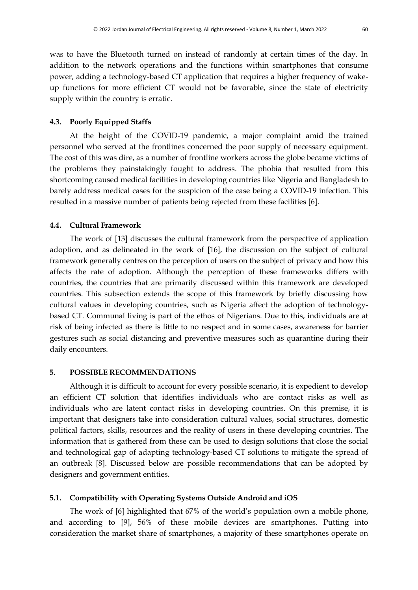was to have the Bluetooth turned on instead of randomly at certain times of the day. In addition to the network operations and the functions within smartphones that consume power, adding a technology-based CT application that requires a higher frequency of wakeup functions for more efficient CT would not be favorable, since the state of electricity supply within the country is erratic.

#### **4.3. Poorly Equipped Staffs**

At the height of the COVID-19 pandemic, a major complaint amid the trained personnel who served at the frontlines concerned the poor supply of necessary equipment. The cost of this was dire, as a number of frontline workers across the globe became victims of the problems they painstakingly fought to address. The phobia that resulted from this shortcoming caused medical facilities in developing countries like Nigeria and Bangladesh to barely address medical cases for the suspicion of the case being a COVID-19 infection. This resulted in a massive number of patients being rejected from these facilities [6].

## **4.4. Cultural Framework**

The work of [13] discusses the cultural framework from the perspective of application adoption, and as delineated in the work of [16], the discussion on the subject of cultural framework generally centres on the perception of users on the subject of privacy and how this affects the rate of adoption. Although the perception of these frameworks differs with countries, the countries that are primarily discussed within this framework are developed countries. This subsection extends the scope of this framework by briefly discussing how cultural values in developing countries, such as Nigeria affect the adoption of technologybased CT. Communal living is part of the ethos of Nigerians. Due to this, individuals are at risk of being infected as there is little to no respect and in some cases, awareness for barrier gestures such as social distancing and preventive measures such as quarantine during their daily encounters.

# **5. POSSIBLE RECOMMENDATIONS**

Although it is difficult to account for every possible scenario, it is expedient to develop an efficient CT solution that identifies individuals who are contact risks as well as individuals who are latent contact risks in developing countries. On this premise, it is important that designers take into consideration cultural values, social structures, domestic political factors, skills, resources and the reality of users in these developing countries. The information that is gathered from these can be used to design solutions that close the social and technological gap of adapting technology-based CT solutions to mitigate the spread of an outbreak [8]. Discussed below are possible recommendations that can be adopted by designers and government entities.

#### **5.1. Compatibility with Operating Systems Outside Android and iOS**

The work of [6] highlighted that 67% of the world's population own a mobile phone, and according to [9], 56% of these mobile devices are smartphones. Putting into consideration the market share of smartphones, a majority of these smartphones operate on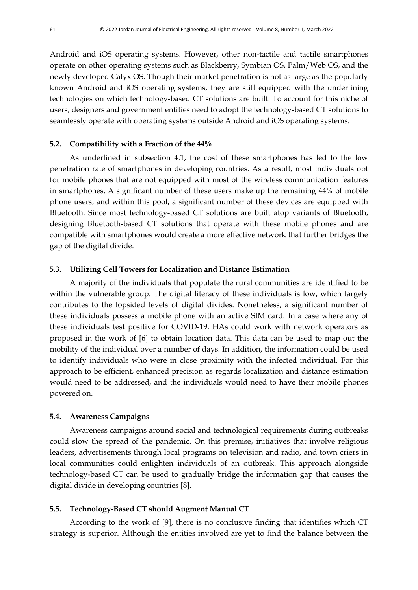Android and iOS operating systems. However, other non-tactile and tactile smartphones operate on other operating systems such as Blackberry, Symbian OS, Palm/Web OS, and the newly developed Calyx OS. Though their market penetration is not as large as the popularly known Android and iOS operating systems, they are still equipped with the underlining technologies on which technology-based CT solutions are built. To account for this niche of users, designers and government entities need to adopt the technology-based CT solutions to seamlessly operate with operating systems outside Android and iOS operating systems.

#### **5.2. Compatibility with a Fraction of the 44%**

As underlined in subsection 4.1, the cost of these smartphones has led to the low penetration rate of smartphones in developing countries. As a result, most individuals opt for mobile phones that are not equipped with most of the wireless communication features in smartphones. A significant number of these users make up the remaining 44% of mobile phone users, and within this pool, a significant number of these devices are equipped with Bluetooth. Since most technology-based CT solutions are built atop variants of Bluetooth, designing Bluetooth-based CT solutions that operate with these mobile phones and are compatible with smartphones would create a more effective network that further bridges the gap of the digital divide.

# **5.3. Utilizing Cell Towers for Localization and Distance Estimation**

A majority of the individuals that populate the rural communities are identified to be within the vulnerable group. The digital literacy of these individuals is low, which largely contributes to the lopsided levels of digital divides. Nonetheless, a significant number of these individuals possess a mobile phone with an active SIM card. In a case where any of these individuals test positive for COVID-19, HAs could work with network operators as proposed in the work of [6] to obtain location data. This data can be used to map out the mobility of the individual over a number of days. In addition, the information could be used to identify individuals who were in close proximity with the infected individual. For this approach to be efficient, enhanced precision as regards localization and distance estimation would need to be addressed, and the individuals would need to have their mobile phones powered on.

#### **5.4. Awareness Campaigns**

Awareness campaigns around social and technological requirements during outbreaks could slow the spread of the pandemic. On this premise, initiatives that involve religious leaders, advertisements through local programs on television and radio, and town criers in local communities could enlighten individuals of an outbreak. This approach alongside technology-based CT can be used to gradually bridge the information gap that causes the digital divide in developing countries [8].

#### **5.5. Technology-Based CT should Augment Manual CT**

According to the work of [9], there is no conclusive finding that identifies which CT strategy is superior. Although the entities involved are yet to find the balance between the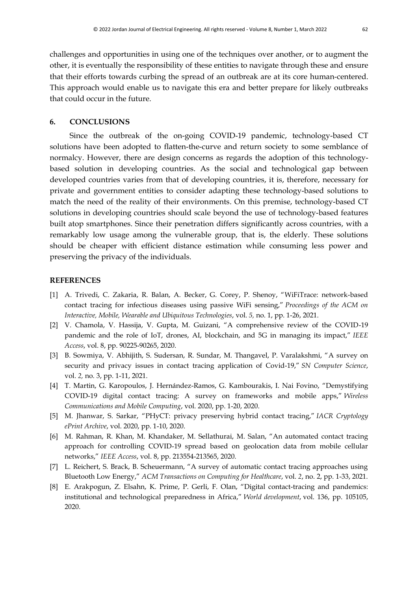challenges and opportunities in using one of the techniques over another, or to augment the other, it is eventually the responsibility of these entities to navigate through these and ensure that their efforts towards curbing the spread of an outbreak are at its core human-centered. This approach would enable us to navigate this era and better prepare for likely outbreaks that could occur in the future.

#### **6. CONCLUSIONS**

Since the outbreak of the on-going COVID-19 pandemic, technology-based CT solutions have been adopted to flatten-the-curve and return society to some semblance of normalcy. However, there are design concerns as regards the adoption of this technologybased solution in developing countries. As the social and technological gap between developed countries varies from that of developing countries, it is, therefore, necessary for private and government entities to consider adapting these technology-based solutions to match the need of the reality of their environments. On this premise, technology-based CT solutions in developing countries should scale beyond the use of technology-based features built atop smartphones. Since their penetration differs significantly across countries, with a remarkably low usage among the vulnerable group, that is, the elderly. These solutions should be cheaper with efficient distance estimation while consuming less power and preserving the privacy of the individuals.

#### **REFERENCES**

- [1] A. Trivedi, C. Zakaria, R. Balan, A. Becker, G. Corey, P. Shenoy, "WiFiTrace: network-based contact tracing for infectious diseases using passive WiFi sensing," *Proceedings of the ACM on Interactive, Mobile, Wearable and Ubiquitous Technologies*, vol. *5,* no. 1, pp. 1-26, 2021.
- [2] V. Chamola, V. Hassija, V. Gupta, M. Guizani, "A comprehensive review of the COVID-19 pandemic and the role of IoT, drones, AI, blockchain, and 5G in managing its impact," *IEEE Access*, vol. 8, pp. 90225-90265, 2020.
- [3] B. Sowmiya, V. Abhijith, S. Sudersan, R. Sundar, M. Thangavel, P. Varalakshmi, "A survey on security and privacy issues in contact tracing application of Covid-19," *SN Computer Science*, vol. *2,* no*.* 3, pp. 1-11, 2021.
- [4] T. Martin, G. Karopoulos, J. Hernández-Ramos, G. Kambourakis, I. Nai Fovino, "Demystifying COVID-19 digital contact tracing: A survey on frameworks and mobile apps," *Wireless Communications and Mobile Computing*, vol. 2020, pp. 1-20, 2020.
- [5] M. Jhanwar, S. Sarkar, "PHyCT: privacy preserving hybrid contact tracing," *IACR Cryptology ePrint Archive*, vol. 2020, pp. 1-10, 2020.
- [6] M. Rahman, R. Khan, M. Khandaker, M. Sellathurai, M. Salan, "An automated contact tracing approach for controlling COVID-19 spread based on geolocation data from mobile cellular networks," *IEEE Access*, vol. 8, pp. 213554-213565, 2020.
- [7] L. Reichert, S. Brack, B. Scheuermann, "A survey of automatic contact tracing approaches using Bluetooth Low Energy," *ACM Transactions on Computing for Healthcare*, vol. *2*, no. 2, pp. 1-33, 2021.
- [8] E. Arakpogun, Z. Elsahn, K. Prime, P. Gerli, F. Olan, "Digital contact-tracing and pandemics: institutional and technological preparedness in Africa," *World development*, vol. 136, pp. 105105, 2020.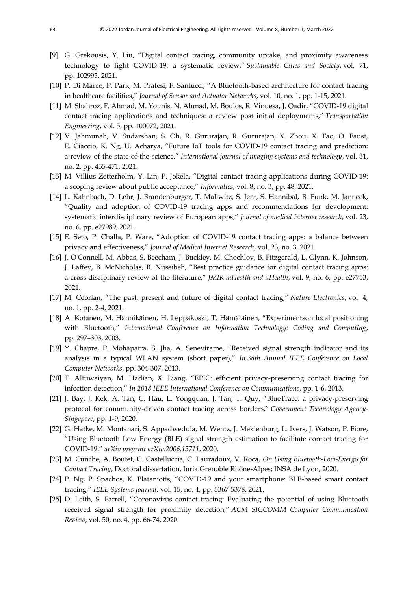- [9] G. Grekousis, Y. Liu, "Digital contact tracing, community uptake, and proximity awareness technology to fight COVID-19: a systematic review," *Sustainable Cities and Society*, vol. 71, pp. 102995, 2021.
- [10] P. Di Marco, P. Park, M. Pratesi, F. Santucci, "A Bluetooth-based architecture for contact tracing in healthcare facilities," *Journal of Sensor and Actuator Networks*, vol. 10*,* no. 1, pp. 1-15, 2021.
- [11] M. Shahroz, F. Ahmad, M. Younis, N. Ahmad, M. Boulos, R. Vinuesa, J. Qadir, "COVID-19 digital contact tracing applications and techniques: a review post initial deployments," *Transportation Engineering*, vol. 5, pp. 100072, 2021.
- [12] V. Jahmunah, V. Sudarshan, S. Oh, R. Gururajan, R. Gururajan, X. Zhou, X. Tao, O. Faust, E. Ciaccio, K. Ng, U. Acharya, "Future IoT tools for COVID-19 contact tracing and prediction: a review of the state‐of‐the‐science," *International journal of imaging systems and technology*, vol. 31, no. 2, pp. 455-471, 2021.
- [13] M. Villius Zetterholm, Y. Lin, P. Jokela, "Digital contact tracing applications during COVID-19: a scoping review about public acceptance," *Informatics*, vol. 8, no. 3, pp. 48, 2021.
- [14] L. Kahnbach, D. Lehr, J. Brandenburger, T. Mallwitz, S. Jent, S. Hannibal, B. Funk, M. Janneck, "Quality and adoption of COVID-19 tracing apps and recommendations for development: systematic interdisciplinary review of European apps," *Journal of medical Internet research*, vol. 23, no. 6, pp. e27989, 2021.
- [15] E. Seto, P. Challa, P. Ware, "Adoption of COVID-19 contact tracing apps: a balance between privacy and effectiveness," *Journal of Medical Internet Research*, vol. 23, no. 3, 2021.
- [16] J. O'Connell, M. Abbas, S. Beecham, J. Buckley, M. Chochlov, B. Fitzgerald, L. Glynn, K. Johnson, J. Laffey, B. McNicholas, B. Nuseibeh, "Best practice guidance for digital contact tracing apps: a cross-disciplinary review of the literature," *JMIR mHealth and uHealth*, vol. 9*,* no. 6, pp. e27753, 2021.
- [17] M. Cebrian, "The past, present and future of digital contact tracing," *Nature Electronics*, vol. 4*,*  no. 1, pp. 2-4, 2021.
- [18] A. Kotanen, M. Hännikäinen, H. Leppäkoski, T. Hämäläinen, "Experimentson local positioning with Bluetooth," *International Conference on Information Technology: Coding and Computing*, pp. 297–303, 2003.
- [19] Y. Chapre, P. Mohapatra, S. Jha, A. Seneviratne, "Received signal strength indicator and its analysis in a typical WLAN system (short paper)," *In 38th Annual IEEE Conference on Local Computer Networks*, pp. 304-307, 2013.
- [20] T. Altuwaiyan, M. Hadian, X. Liang, "EPIC: efficient privacy-preserving contact tracing for infection detection," *In 2018 IEEE International Conference on Communications*, pp. 1-6, 2013.
- [21] J. Bay, J. Kek, A. Tan, C. Hau, L. Yongquan, J. Tan, T. Quy, "BlueTrace: a privacy-preserving protocol for community-driven contact tracing across borders," *Government Technology Agency-Singapore*, pp. 1-9, 2020.
- [22] G. Hatke, M. Montanari, S. Appadwedula, M. Wentz, J. Meklenburg, L. Ivers, J. Watson, P. Fiore, "Using Bluetooth Low Energy (BLE) signal strength estimation to facilitate contact tracing for COVID-19," *arXiv preprint arXiv:2006.15711*, 2020.
- [23] M. Cunche, A. Boutet, C. Castelluccia, C. Lauradoux, V. Roca, *On Using Bluetooth-Low-Energy for Contact Tracing*, Doctoral dissertation, Inria Grenoble Rhône-Alpes; INSA de Lyon, 2020.
- [24] P. Ng, P. Spachos, K. Plataniotis, "COVID-19 and your smartphone: BLE-based smart contact tracing," *IEEE Systems Journal*, vol. 15, no. 4, pp. 5367-5378, 2021.
- [25] D. Leith, S. Farrell, "Coronavirus contact tracing: Evaluating the potential of using Bluetooth received signal strength for proximity detection," *ACM SIGCOMM Computer Communication Review*, vol. 50, no. 4, pp. 66-74, 2020.